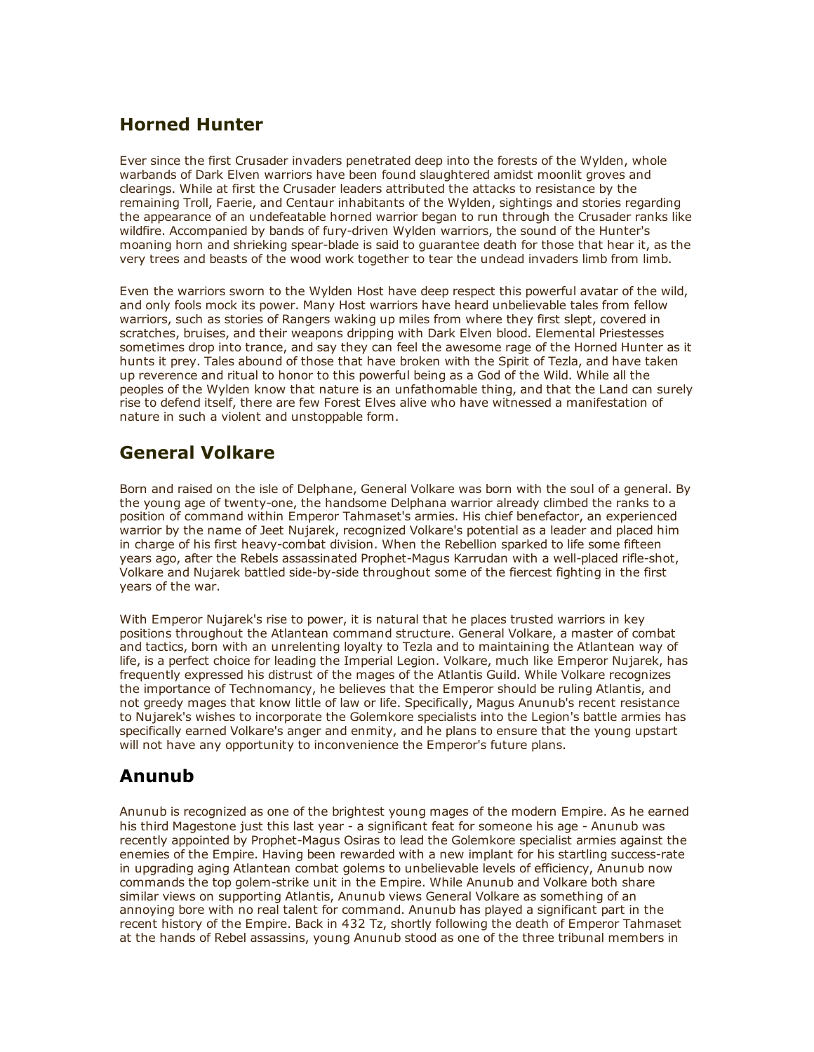### Horned Hunter

Ever since the first Crusader invaders penetrated deep into the forests of the Wylden, whole warbands of Dark Elven warriors have been found slaughtered amidst moonlit groves and clearings. While at first the Crusader leaders attributed the attacks to resistance by the remaining Troll, Faerie, and Centaur inhabitants of the Wylden, sightings and stories regarding the appearance of an undefeatable horned warrior began to run through the Crusader ranks like wildfire. Accompanied by bands of fury-driven Wylden warriors, the sound of the Hunter's moaning horn and shrieking spear-blade is said to guarantee death for those that hear it, as the very trees and beasts of the wood work together to tear the undead invaders limb from limb.

Even the warriors sworn to the Wylden Host have deep respect this powerful avatar of the wild, and only fools mock its power. Many Host warriors have heard unbelievable tales from fellow warriors, such as stories of Rangers waking up miles from where they first slept, covered in scratches, bruises, and their weapons dripping with Dark Elven blood. Elemental Priestesses sometimes drop into trance, and say they can feel the awesome rage of the Horned Hunter as it hunts it prey. Tales abound of those that have broken with the Spirit of Tezla, and have taken up reverence and ritual to honor to this powerful being as a God of the Wild. While all the peoples of the Wylden know that nature is an unfathomable thing, and that the Land can surely rise to defend itself, there are few Forest Elves alive who have witnessed a manifestation of nature in such a violent and unstoppable form.

### General Volkare

Born and raised on the isle of Delphane, General Volkare was born with the soul of a general. By the young age of twenty-one, the handsome Delphana warrior already climbed the ranks to a position of command within Emperor Tahmaset's armies. His chief benefactor, an experienced warrior by the name of Jeet Nujarek, recognized Volkare's potential as a leader and placed him in charge of his first heavy-combat division. When the Rebellion sparked to life some fifteen years ago, after the Rebels assassinated Prophet-Magus Karrudan with a well-placed rifle-shot, Volkare and Nujarek battled side-by-side throughout some of the fiercest fighting in the first years of the war.

With Emperor Nujarek's rise to power, it is natural that he places trusted warriors in key positions throughout the Atlantean command structure. General Volkare, a master of combat and tactics, born with an unrelenting loyalty to Tezla and to maintaining the Atlantean way of life, is a perfect choice for leading the Imperial Legion. Volkare, much like Emperor Nujarek, has frequently expressed his distrust of the mages of the Atlantis Guild. While Volkare recognizes the importance of Technomancy, he believes that the Emperor should be ruling Atlantis, and not greedy mages that know little of law or life. Specifically, Magus Anunub's recent resistance to Nujarek's wishes to incorporate the Golemkore specialists into the Legion's battle armies has specifically earned Volkare's anger and enmity, and he plans to ensure that the young upstart will not have any opportunity to inconvenience the Emperor's future plans.

# Anunub

Anunub is recognized as one of the brightest young mages of the modern Empire. As he earned his third Magestone just this last year - a significant feat for someone his age - Anunub was recently appointed by Prophet-Magus Osiras to lead the Golemkore specialist armies against the enemies of the Empire. Having been rewarded with a new implant for his startling success-rate in upgrading aging Atlantean combat golems to unbelievable levels of efficiency, Anunub now commands the top golem-strike unit in the Empire. While Anunub and Volkare both share similar views on supporting Atlantis, Anunub views General Volkare as something of an annoying bore with no real talent for command. Anunub has played a significant part in the recent history of the Empire. Back in 432 Tz, shortly following the death of Emperor Tahmaset at the hands of Rebel assassins, young Anunub stood as one of the three tribunal members in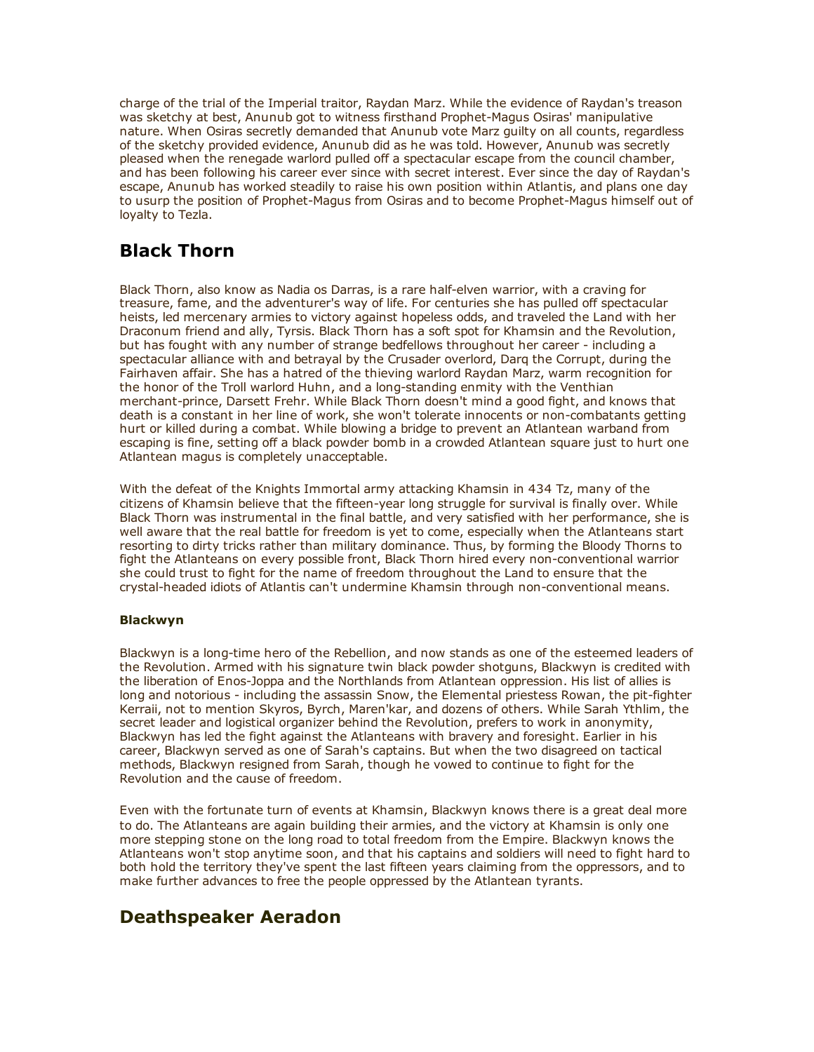charge of the trial of the Imperial traitor, Raydan Marz. While the evidence of Raydan's treason was sketchy at best, Anunub got to witness firsthand Prophet-Magus Osiras' manipulative nature. When Osiras secretly demanded that Anunub vote Marz guilty on all counts, regardless of the sketchy provided evidence, Anunub did as he was told. However, Anunub was secretly pleased when the renegade warlord pulled off a spectacular escape from the council chamber, and has been following his career ever since with secret interest. Ever since the day of Raydan's escape, Anunub has worked steadily to raise his own position within Atlantis, and plans one day to usurp the position of Prophet-Magus from Osiras and to become Prophet-Magus himself out of loyalty to Tezla.

# Black Thorn

Black Thorn, also know as Nadia os Darras, is a rare half-elven warrior, with a craving for treasure, fame, and the adventurer's way of life. For centuries she has pulled off spectacular heists, led mercenary armies to victory against hopeless odds, and traveled the Land with her Draconum friend and ally, Tyrsis. Black Thorn has a soft spot for Khamsin and the Revolution, but has fought with any number of strange bedfellows throughout her career including a spectacular alliance with and betrayal by the Crusader overlord, Darq the Corrupt, during the Fairhaven affair. She has a hatred of the thieving warlord Raydan Marz, warm recognition for the honor of the Troll warlord Huhn, and a long-standing enmity with the Venthian merchant-prince, Darsett Frehr. While Black Thorn doesn't mind a good fight, and knows that death is a constant in her line of work, she won't tolerate innocents or non-combatants getting hurt or killed during a combat. While blowing a bridge to prevent an Atlantean warband from escaping is fine, setting off a black powder bomb in a crowded Atlantean square just to hurt one Atlantean magus is completely unacceptable.

With the defeat of the Knights Immortal army attacking Khamsin in 434 Tz, many of the citizens of Khamsin believe that the fifteen-year long struggle for survival is finally over. While Black Thorn was instrumental in the final battle, and very satisfied with her performance, she is well aware that the real battle for freedom is yet to come, especially when the Atlanteans start resorting to dirty tricks rather than military dominance. Thus, by forming the Bloody Thorns to fight the Atlanteans on every possible front, Black Thorn hired every non-conventional warrior she could trust to fight for the name of freedom throughout the Land to ensure that the crystal-headed idiots of Atlantis can't undermine Khamsin through non-conventional means.

#### Blackwyn

Blackwyn is a long-time hero of the Rebellion, and now stands as one of the esteemed leaders of the Revolution. Armed with his signature twin black powder shotguns, Blackwyn is credited with the liberation of Enos-Joppa and the Northlands from Atlantean oppression. His list of allies is long and notorious - including the assassin Snow, the Elemental priestess Rowan, the pit-fighter Kerraii, not to mention Skyros, Byrch, Maren'kar, and dozens of others. While Sarah Ythlim, the secret leader and logistical organizer behind the Revolution, prefers to work in anonymity, Blackwyn has led the fight against the Atlanteans with bravery and foresight. Earlier in his career, Blackwyn served as one of Sarah's captains. But when the two disagreed on tactical methods, Blackwyn resigned from Sarah, though he vowed to continue to fight for the Revolution and the cause of freedom.

Even with the fortunate turn of events at Khamsin, Blackwyn knows there is a great deal more to do. The Atlanteans are again building their armies, and the victory at Khamsin is only one more stepping stone on the long road to total freedom from the Empire. Blackwyn knows the Atlanteans won't stop anytime soon, and that his captains and soldiers will need to fight hard to both hold the territory they've spent the last fifteen years claiming from the oppressors, and to make further advances to free the people oppressed by the Atlantean tyrants.

### Deathspeaker Aeradon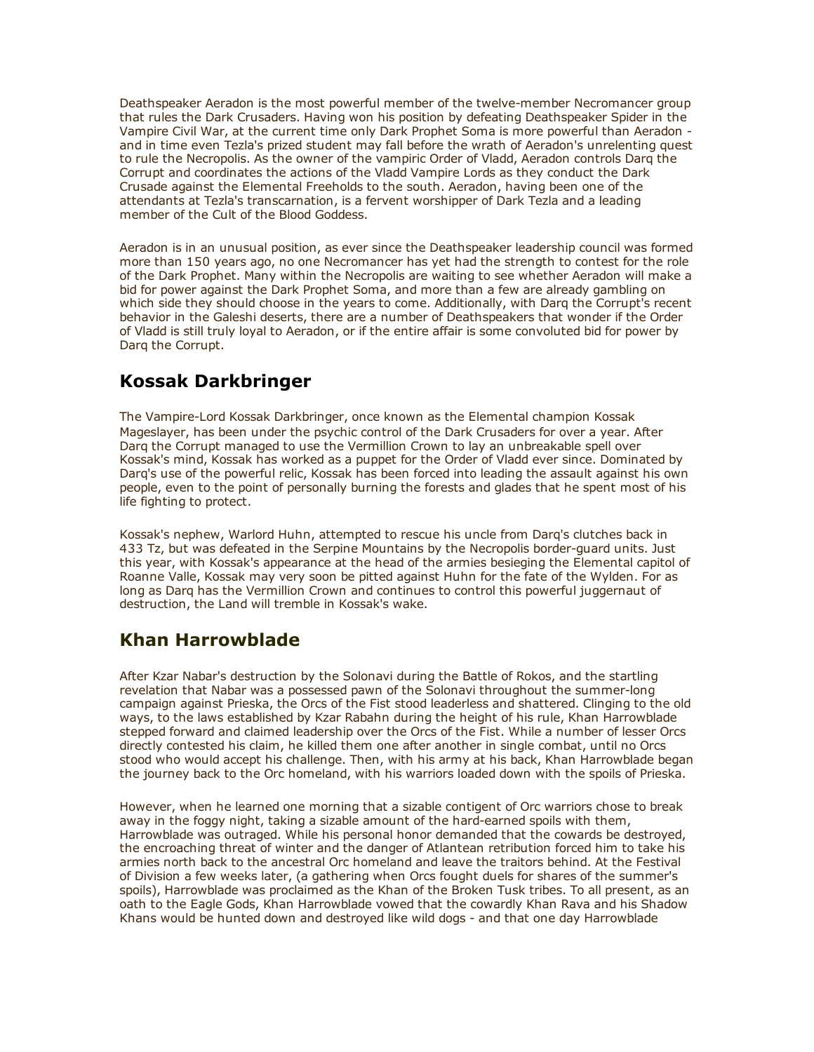Deathspeaker Aeradon is the most powerful member of the twelve-member Necromancer group that rules the Dark Crusaders. Having won his position by defeating Deathspeaker Spider in the Vampire Civil War, at the current time only Dark Prophet Soma is more powerful than Aeradon and in time even Tezla's prized student may fall before the wrath of Aeradon's unrelenting quest to rule the Necropolis. As the owner of the vampiric Order of Vladd, Aeradon controls Darq the Corrupt and coordinates the actions of the Vladd Vampire Lords as they conduct the Dark Crusade against the Elemental Freeholds to the south. Aeradon, having been one of the attendants at Tezla's transcarnation, is a fervent worshipper of Dark Tezla and a leading member of the Cult of the Blood Goddess.

Aeradon is in an unusual position, as ever since the Deathspeaker leadership council was formed more than 150 years ago, no one Necromancer has yet had the strength to contest for the role of the Dark Prophet. Many within the Necropolis are waiting to see whether Aeradon will make a bid for power against the Dark Prophet Soma, and more than a few are already gambling on which side they should choose in the years to come. Additionally, with Darq the Corrupt's recent behavior in the Galeshi deserts, there are a number of Deathspeakers that wonder if the Order of Vladd is still truly loyal to Aeradon, or if the entire affair is some convoluted bid for power by Darq the Corrupt.

### Kossak Darkbringer

The Vampire-Lord Kossak Darkbringer, once known as the Elemental champion Kossak Mageslayer, has been under the psychic control of the Dark Crusaders for over a year. After Darq the Corrupt managed to use the Vermillion Crown to lay an unbreakable spell over Kossak's mind, Kossak has worked as a puppet for the Order of Vladd ever since. Dominated by Darq's use of the powerful relic, Kossak has been forced into leading the assault against his own people, even to the point of personally burning the forests and glades that he spent most of his life fighting to protect.

Kossak's nephew, Warlord Huhn, attempted to rescue his uncle from Darq's clutches back in 433 Tz, but was defeated in the Serpine Mountains by the Necropolis border-guard units. Just this year, with Kossak's appearance at the head of the armies besieging the Elemental capitol of Roanne Valle, Kossak may very soon be pitted against Huhn for the fate of the Wylden. For as long as Darq has the Vermillion Crown and continues to control this powerful juggernaut of destruction, the Land will tremble in Kossak's wake.

# Khan Harrowblade

After Kzar Nabar's destruction by the Solonavi during the Battle of Rokos, and the startling revelation that Nabar was a possessed pawn of the Solonavi throughout the summer-long campaign against Prieska, the Orcs of the Fist stood leaderless and shattered. Clinging to the old ways, to the laws established by Kzar Rabahn during the height of his rule, Khan Harrowblade stepped forward and claimed leadership over the Orcs of the Fist. While a number of lesser Orcs directly contested his claim, he killed them one after another in single combat, until no Orcs stood who would accept his challenge. Then, with his army at his back, Khan Harrowblade began the journey back to the Orc homeland, with his warriors loaded down with the spoils of Prieska.

However, when he learned one morning that a sizable contigent of Orc warriors chose to break away in the foggy night, taking a sizable amount of the hard-earned spoils with them, Harrowblade was outraged. While his personal honor demanded that the cowards be destroyed, the encroaching threat of winter and the danger of Atlantean retribution forced him to take his armies north back to the ancestral Orc homeland and leave the traitors behind. At the Festival of Division a few weeks later, (a gathering when Orcs fought duels for shares of the summer's spoils), Harrowblade was proclaimed as the Khan of the Broken Tusk tribes. To all present, as an oath to the Eagle Gods, Khan Harrowblade vowed that the cowardly Khan Rava and his Shadow Khans would be hunted down and destroyed like wild dogs - and that one day Harrowblade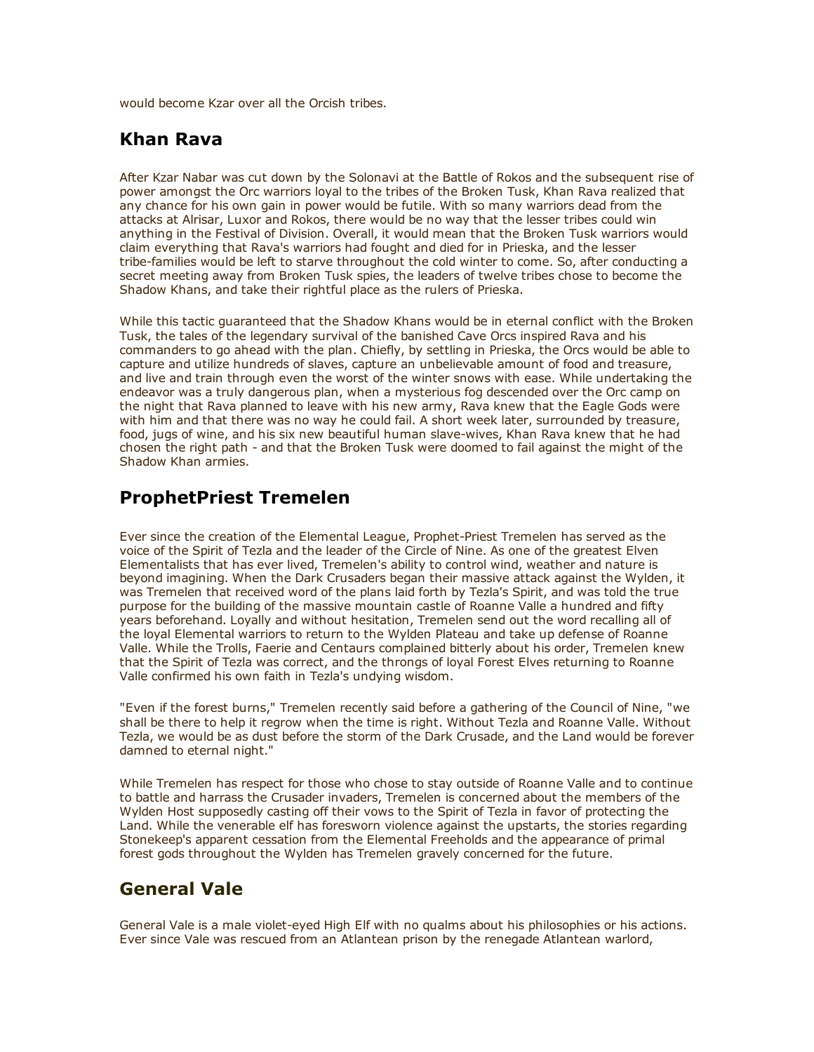would become Kzar over all the Orcish tribes.

### Khan Rava

After Kzar Nabar was cut down by the Solonavi at the Battle of Rokos and the subsequent rise of power amongst the Orc warriors loyal to the tribes of the Broken Tusk, Khan Rava realized that any chance for his own gain in power would be futile. With so many warriors dead from the attacks at Alrisar, Luxor and Rokos, there would be no way that the lesser tribes could win anything in the Festival of Division. Overall, it would mean that the Broken Tusk warriors would claim everything that Rava's warriors had fought and died for in Prieska, and the lesser tribe-families would be left to starve throughout the cold winter to come. So, after conducting a secret meeting away from Broken Tusk spies, the leaders of twelve tribes chose to become the Shadow Khans, and take their rightful place as the rulers of Prieska.

While this tactic guaranteed that the Shadow Khans would be in eternal conflict with the Broken Tusk, the tales of the legendary survival of the banished Cave Orcs inspired Rava and his commanders to go ahead with the plan. Chiefly, by settling in Prieska, the Orcs would be able to capture and utilize hundreds of slaves, capture an unbelievable amount of food and treasure, and live and train through even the worst of the winter snows with ease. While undertaking the endeavor was a truly dangerous plan, when a mysterious fog descended over the Orc camp on the night that Rava planned to leave with his new army, Rava knew that the Eagle Gods were with him and that there was no way he could fail. A short week later, surrounded by treasure, food, jugs of wine, and his six new beautiful human slave-wives, Khan Rava knew that he had chosen the right path - and that the Broken Tusk were doomed to fail against the might of the Shadow Khan armies.

### ProphetPriest Tremelen

Ever since the creation of the Elemental League, Prophet-Priest Tremelen has served as the voice of the Spirit of Tezla and the leader of the Circle of Nine. As one of the greatest Elven Elementalists that has ever lived, Tremelen's ability to control wind, weather and nature is beyond imagining. When the Dark Crusaders began their massive attack against the Wylden, it was Tremelen that received word of the plans laid forth by Tezla's Spirit, and was told the true purpose for the building of the massive mountain castle of Roanne Valle a hundred and fifty years beforehand. Loyally and without hesitation, Tremelen send out the word recalling all of the loyal Elemental warriors to return to the Wylden Plateau and take up defense of Roanne Valle. While the Trolls, Faerie and Centaurs complained bitterly about his order, Tremelen knew that the Spirit of Tezla was correct, and the throngs of loyal Forest Elves returning to Roanne Valle confirmed his own faith in Tezla's undying wisdom.

"Even if the forest burns," Tremelen recently said before a gathering of the Council of Nine, "we shall be there to help it regrow when the time is right. Without Tezla and Roanne Valle. Without Tezla, we would be as dust before the storm of the Dark Crusade, and the Land would be forever damned to eternal night."

While Tremelen has respect for those who chose to stay outside of Roanne Valle and to continue to battle and harrass the Crusader invaders, Tremelen is concerned about the members of the Wylden Host supposedly casting off their vows to the Spirit of Tezla in favor of protecting the Land. While the venerable elf has foresworn violence against the upstarts, the stories regarding Stonekeep's apparent cessation from the Elemental Freeholds and the appearance of primal forest gods throughout the Wylden has Tremelen gravely concerned for the future.

### General Vale

General Vale is a male violet-eyed High Elf with no qualms about his philosophies or his actions. Ever since Vale was rescued from an Atlantean prison by the renegade Atlantean warlord,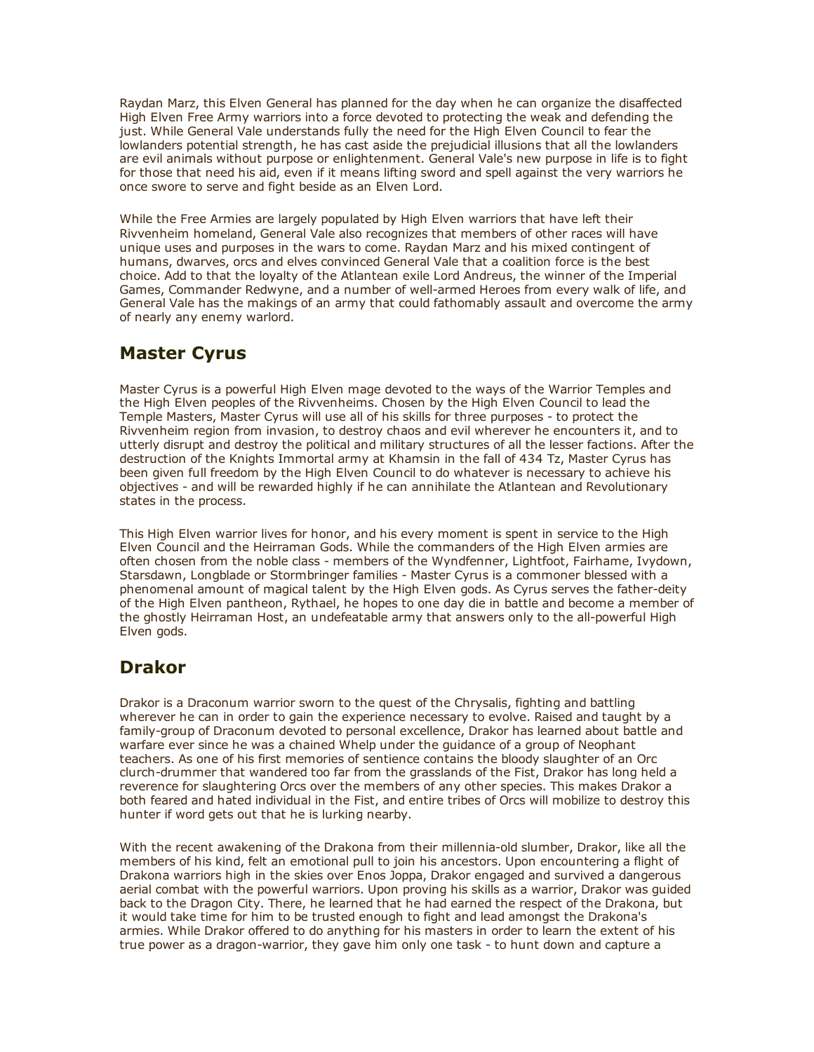Raydan Marz, this Elven General has planned for the day when he can organize the disaffected High Elven Free Army warriors into a force devoted to protecting the weak and defending the just. While General Vale understands fully the need for the High Elven Council to fear the lowlanders potential strength, he has cast aside the prejudicial illusions that all the lowlanders are evil animals without purpose or enlightenment. General Vale's new purpose in life is to fight for those that need his aid, even if it means lifting sword and spell against the very warriors he once swore to serve and fight beside as an Elven Lord.

While the Free Armies are largely populated by High Elven warriors that have left their Rivvenheim homeland, General Vale also recognizes that members of other races will have unique uses and purposes in the wars to come. Raydan Marz and his mixed contingent of humans, dwarves, orcs and elves convinced General Vale that a coalition force is the best choice. Add to that the loyalty of the Atlantean exile Lord Andreus, the winner of the Imperial Games, Commander Redwyne, and a number of well-armed Heroes from every walk of life, and General Vale has the makings of an army that could fathomably assault and overcome the army of nearly any enemy warlord.

### Master Cyrus

Master Cyrus is a powerful High Elven mage devoted to the ways of the Warrior Temples and the High Elven peoples of the Rivvenheims. Chosen by the High Elven Council to lead the Temple Masters, Master Cyrus will use all of his skills for three purposes to protect the Rivvenheim region from invasion, to destroy chaos and evil wherever he encounters it, and to utterly disrupt and destroy the political and military structures of all the lesser factions. After the destruction of the Knights Immortal army at Khamsin in the fall of 434 Tz, Master Cyrus has been given full freedom by the High Elven Council to do whatever is necessary to achieve his objectives and will be rewarded highly if he can annihilate the Atlantean and Revolutionary states in the process.

This High Elven warrior lives for honor, and his every moment is spent in service to the High Elven Council and the Heirraman Gods. While the commanders of the High Elven armies are often chosen from the noble class - members of the Wyndfenner, Lightfoot, Fairhame, Ivydown, Starsdawn, Longblade or Stormbringer families - Master Cyrus is a commoner blessed with a phenomenal amount of magical talent by the High Elven gods. As Cyrus serves the father-deity of the High Elven pantheon, Rythael, he hopes to one day die in battle and become a member of the ghostly Heirraman Host, an undefeatable army that answers only to the all-powerful High Elven gods.

# Drakor

Drakor is a Draconum warrior sworn to the quest of the Chrysalis, fighting and battling wherever he can in order to gain the experience necessary to evolve. Raised and taught by a family-group of Draconum devoted to personal excellence, Drakor has learned about battle and warfare ever since he was a chained Whelp under the guidance of a group of Neophant teachers. As one of his first memories of sentience contains the bloody slaughter of an Orc clurch-drummer that wandered too far from the grasslands of the Fist, Drakor has long held a reverence for slaughtering Orcs over the members of any other species. This makes Drakor a both feared and hated individual in the Fist, and entire tribes of Orcs will mobilize to destroy this hunter if word gets out that he is lurking nearby.

With the recent awakening of the Drakona from their millennia-old slumber, Drakor, like all the members of his kind, felt an emotional pull to join his ancestors. Upon encountering a flight of Drakona warriors high in the skies over Enos Joppa, Drakor engaged and survived a dangerous aerial combat with the powerful warriors. Upon proving his skills as a warrior, Drakor was guided back to the Dragon City. There, he learned that he had earned the respect of the Drakona, but it would take time for him to be trusted enough to fight and lead amongst the Drakona's armies. While Drakor offered to do anything for his masters in order to learn the extent of his true power as a dragon-warrior, they gave him only one task - to hunt down and capture a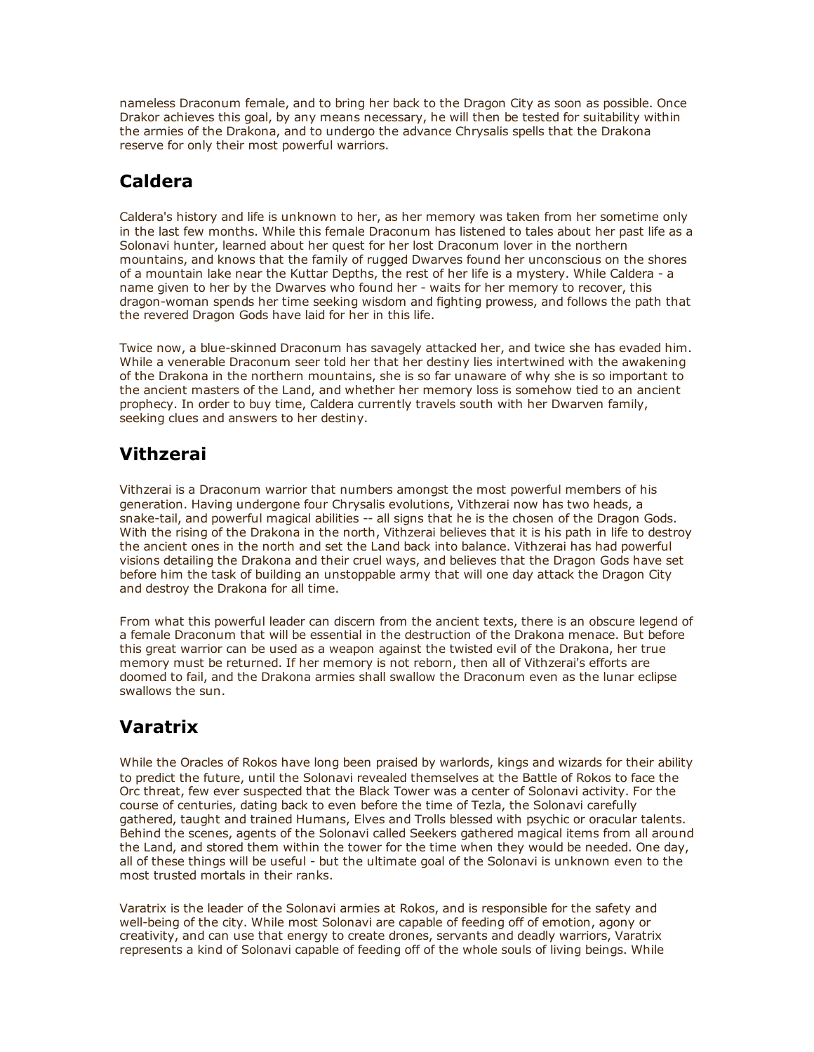nameless Draconum female, and to bring her back to the Dragon City as soon as possible. Once Drakor achieves this goal, by any means necessary, he will then be tested for suitability within the armies of the Drakona, and to undergo the advance Chrysalis spells that the Drakona reserve for only their most powerful warriors.

# Caldera

Caldera's history and life is unknown to her, as her memory was taken from her sometime only in the last few months. While this female Draconum has listened to tales about her past life as a Solonavi hunter, learned about her quest for her lost Draconum lover in the northern mountains, and knows that the family of rugged Dwarves found her unconscious on the shores of a mountain lake near the Kuttar Depths, the rest of her life is a mystery. While Caldera - a name given to her by the Dwarves who found her - waits for her memory to recover, this dragon-woman spends her time seeking wisdom and fighting prowess, and follows the path that the revered Dragon Gods have laid for her in this life.

Twice now, a blue-skinned Draconum has savagely attacked her, and twice she has evaded him. While a venerable Draconum seer told her that her destiny lies intertwined with the awakening of the Drakona in the northern mountains, she is so far unaware of why she is so important to the ancient masters of the Land, and whether her memory loss is somehow tied to an ancient prophecy. In order to buy time, Caldera currently travels south with her Dwarven family, seeking clues and answers to her destiny.

# Vithzerai

Vithzerai is a Draconum warrior that numbers amongst the most powerful members of his generation. Having undergone four Chrysalis evolutions, Vithzerai now has two heads, a snake-tail, and powerful magical abilities -- all signs that he is the chosen of the Dragon Gods. With the rising of the Drakona in the north, Vithzerai believes that it is his path in life to destroy the ancient ones in the north and set the Land back into balance. Vithzerai has had powerful visions detailing the Drakona and their cruel ways, and believes that the Dragon Gods have set before him the task of building an unstoppable army that will one day attack the Dragon City and destroy the Drakona for all time.

From what this powerful leader can discern from the ancient texts, there is an obscure legend of a female Draconum that will be essential in the destruction of the Drakona menace. But before this great warrior can be used as a weapon against the twisted evil of the Drakona, her true memory must be returned. If her memory is not reborn, then all of Vithzerai's efforts are doomed to fail, and the Drakona armies shall swallow the Draconum even as the lunar eclipse swallows the sun.

# Varatrix

While the Oracles of Rokos have long been praised by warlords, kings and wizards for their ability to predict the future, until the Solonavi revealed themselves at the Battle of Rokos to face the Orc threat, few ever suspected that the Black Tower was a center of Solonavi activity. For the course of centuries, dating back to even before the time of Tezla, the Solonavi carefully gathered, taught and trained Humans, Elves and Trolls blessed with psychic or oracular talents. Behind the scenes, agents of the Solonavi called Seekers gathered magical items from all around the Land, and stored them within the tower for the time when they would be needed. One day, all of these things will be useful - but the ultimate goal of the Solonavi is unknown even to the most trusted mortals in their ranks.

Varatrix is the leader of the Solonavi armies at Rokos, and is responsible for the safety and well-being of the city. While most Solonavi are capable of feeding off of emotion, agony or creativity, and can use that energy to create drones, servants and deadly warriors, Varatrix represents a kind of Solonavi capable of feeding off of the whole souls of living beings. While